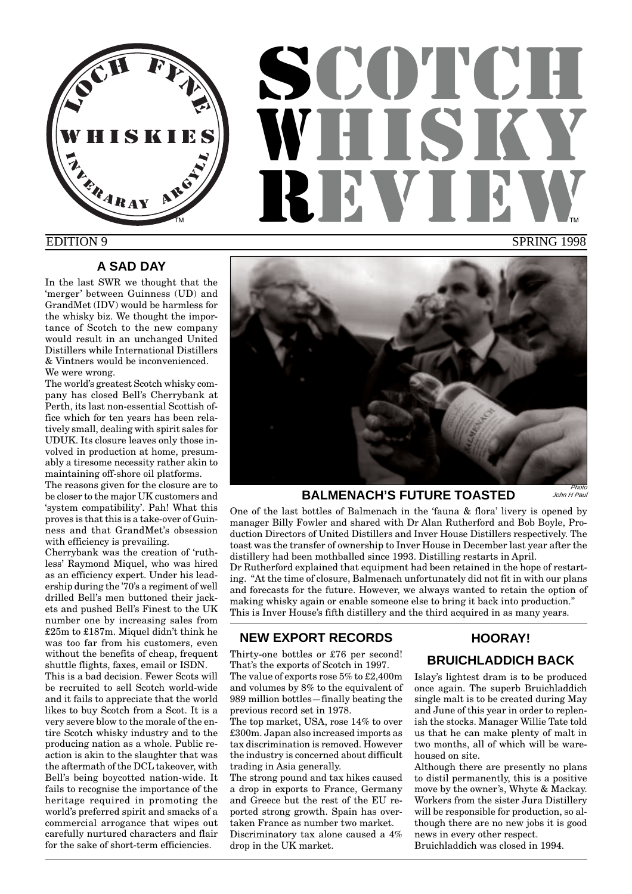

# **SCOTCH** WHUT REVIEW SPRING 1998 TM **THE STATE OF STATE OF STATE OF STATE OF STATE OF STATE OF STATE OF STATE OF STATE OF STATE OF STATE OF STA**

# EDITION 9

# **A SAD DAY**

In the last SWR we thought that the 'merger' between Guinness (UD) and GrandMet (IDV) would be harmless for the whisky biz. We thought the importance of Scotch to the new company would result in an unchanged United Distillers while International Distillers & Vintners would be inconvenienced. We were wrong.

The world's greatest Scotch whisky company has closed Bell's Cherrybank at Perth, its last non-essential Scottish office which for ten years has been relatively small, dealing with spirit sales for UDUK. Its closure leaves only those involved in production at home, presumably a tiresome necessity rather akin to maintaining off-shore oil platforms.

The reasons given for the closure are to be closer to the major UK customers and 'system compatibility'. Pah! What this proves is that this is a take-over of Guinness and that GrandMet's obsession with efficiency is prevailing.

Cherrybank was the creation of 'ruthless' Raymond Miquel, who was hired as an efficiency expert. Under his leadership during the '70's a regiment of well drilled Bell's men buttoned their jackets and pushed Bell's Finest to the UK number one by increasing sales from £25m to £187m. Miquel didn't think he was too far from his customers, even without the benefits of cheap, frequent shuttle flights, faxes, email or ISDN.

This is a bad decision. Fewer Scots will be recruited to sell Scotch world-wide and it fails to appreciate that the world likes to buy Scotch from a Scot. It is a very severe blow to the morale of the entire Scotch whisky industry and to the producing nation as a whole. Public reaction is akin to the slaughter that was the aftermath of the DCL takeover, with Bell's being boycotted nation-wide. It fails to recognise the importance of the heritage required in promoting the world's preferred spirit and smacks of a commercial arrogance that wipes out carefully nurtured characters and flair for the sake of short-term efficiencies.



# **BALMENACH'S FUTURE TOASTED**

John H Paul

One of the last bottles of Balmenach in the 'fauna & flora' livery is opened by manager Billy Fowler and shared with Dr Alan Rutherford and Bob Boyle, Production Directors of United Distillers and Inver House Distillers respectively. The toast was the transfer of ownership to Inver House in December last year after the distillery had been mothballed since 1993. Distilling restarts in April.

Dr Rutherford explained that equipment had been retained in the hope of restarting. "At the time of closure, Balmenach unfortunately did not fit in with our plans and forecasts for the future. However, we always wanted to retain the option of making whisky again or enable someone else to bring it back into production." This is Inver House's fifth distillery and the third acquired in as many years.

# **NEW EXPORT RECORDS**

Thirty-one bottles or £76 per second! That's the exports of Scotch in 1997. The value of exports rose 5% to £2,400m and volumes by 8% to the equivalent of 989 million bottles—finally beating the previous record set in 1978.

The top market, USA, rose 14% to over £300m. Japan also increased imports as tax discrimination is removed. However the industry is concerned about difficult trading in Asia generally.

The strong pound and tax hikes caused a drop in exports to France, Germany and Greece but the rest of the EU reported strong growth. Spain has overtaken France as number two market. Discriminatory tax alone caused a 4% drop in the UK market.

# **HOORAY!**

# **BRUICHLADDICH BACK**

Islay's lightest dram is to be produced once again. The superb Bruichladdich single malt is to be created during May and June of this year in order to replenish the stocks. Manager Willie Tate told us that he can make plenty of malt in two months, all of which will be warehoused on site.

Although there are presently no plans to distil permanently, this is a positive move by the owner's, Whyte & Mackay. Workers from the sister Jura Distillery will be responsible for production, so although there are no new jobs it is good news in every other respect. Bruichladdich was closed in 1994.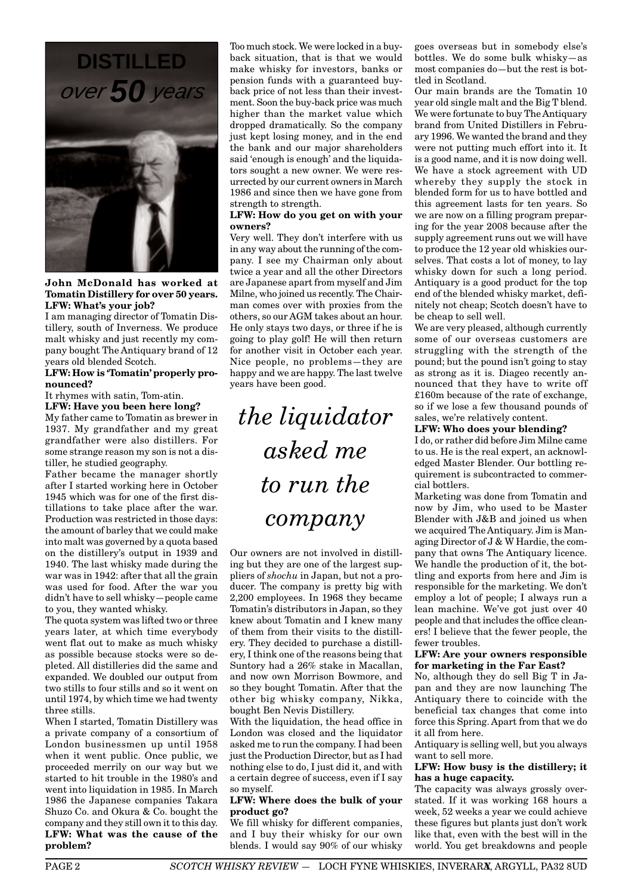**DISTILLED** over **50** years



**John McDonald has worked at Tomatin Distillery for over 50 years. LFW: What's your job?**

I am managing director of Tomatin Distillery, south of Inverness. We produce malt whisky and just recently my company bought The Antiquary brand of 12 years old blended Scotch.

#### **LFW: How is 'Tomatin' properly pronounced?**

It rhymes with satin, Tom-atin.

**LFW: Have you been here long?** My father came to Tomatin as brewer in 1937. My grandfather and my great grandfather were also distillers. For some strange reason my son is not a distiller, he studied geography.

Father became the manager shortly after I started working here in October 1945 which was for one of the first distillations to take place after the war. Production was restricted in those days: the amount of barley that we could make into malt was governed by a quota based on the distillery's output in 1939 and 1940. The last whisky made during the war was in 1942: after that all the grain was used for food. After the war you didn't have to sell whisky—people came to you, they wanted whisky.

The quota system was lifted two or three years later, at which time everybody went flat out to make as much whisky as possible because stocks were so depleted. All distilleries did the same and expanded. We doubled our output from two stills to four stills and so it went on until 1974, by which time we had twenty three stills.

When I started, Tomatin Distillery was a private company of a consortium of London businessmen up until 1958 when it went public. Once public, we proceeded merrily on our way but we started to hit trouble in the 1980's and went into liquidation in 1985. In March 1986 the Japanese companies Takara Shuzo Co. and Okura & Co. bought the company and they still own it to this day. **LFW: What was the cause of the problem?**

Too much stock. We were locked in a buyback situation, that is that we would make whisky for investors, banks or pension funds with a guaranteed buyback price of not less than their investment. Soon the buy-back price was much higher than the market value which dropped dramatically. So the company just kept losing money, and in the end the bank and our major shareholders said 'enough is enough' and the liquidators sought a new owner. We were resurrected by our current owners in March 1986 and since then we have gone from strength to strength.

#### **LFW: How do you get on with your owners?**

Very well. They don't interfere with us in any way about the running of the company. I see my Chairman only about twice a year and all the other Directors are Japanese apart from myself and Jim Milne, who joined us recently. The Chairman comes over with proxies from the others, so our AGM takes about an hour. He only stays two days, or three if he is going to play golf! He will then return for another visit in October each year. Nice people, no problems—they are happy and we are happy. The last twelve years have been good.

*the liquidator asked me to run the company*

Our owners are not involved in distilling but they are one of the largest suppliers of *shochu* in Japan, but not a producer. The company is pretty big with 2,200 employees. In 1968 they became Tomatin's distributors in Japan, so they knew about Tomatin and I knew many of them from their visits to the distillery. They decided to purchase a distillery, I think one of the reasons being that Suntory had a 26% stake in Macallan, and now own Morrison Bowmore, and so they bought Tomatin. After that the other big whisky company, Nikka, bought Ben Nevis Distillery.

With the liquidation, the head office in London was closed and the liquidator asked me to run the company. I had been just the Production Director, but as I had nothing else to do, I just did it, and with a certain degree of success, even if I say so myself.

#### **LFW: Where does the bulk of your product go?**

We fill whisky for different companies, and I buy their whisky for our own blends. I would say 90% of our whisky

goes overseas but in somebody else's bottles. We do some bulk whisky—as most companies do—but the rest is bottled in Scotland.

Our main brands are the Tomatin 10 year old single malt and the Big T blend. We were fortunate to buy The Antiquary brand from United Distillers in February 1996. We wanted the brand and they were not putting much effort into it. It is a good name, and it is now doing well. We have a stock agreement with UD whereby they supply the stock in blended form for us to have bottled and this agreement lasts for ten years. So we are now on a filling program preparing for the year 2008 because after the supply agreement runs out we will have to produce the 12 year old whiskies ourselves. That costs a lot of money, to lay whisky down for such a long period. Antiquary is a good product for the top end of the blended whisky market, definitely not cheap; Scotch doesn't have to be cheap to sell well.

We are very pleased, although currently some of our overseas customers are struggling with the strength of the pound; but the pound isn't going to stay as strong as it is. Diageo recently announced that they have to write off £160m because of the rate of exchange, so if we lose a few thousand pounds of sales, we're relatively content.

#### **LFW: Who does your blending?**

I do, or rather did before Jim Milne came to us. He is the real expert, an acknowledged Master Blender. Our bottling requirement is subcontracted to commercial bottlers.

Marketing was done from Tomatin and now by Jim, who used to be Master Blender with J&B and joined us when we acquired The Antiquary. Jim is Managing Director of J & W Hardie, the company that owns The Antiquary licence. We handle the production of it, the bottling and exports from here and Jim is responsible for the marketing. We don't employ a lot of people; I always run a lean machine. We've got just over 40 people and that includes the office cleaners! I believe that the fewer people, the fewer troubles.

#### **LFW: Are your owners responsible for marketing in the Far East?**

No, although they do sell Big T in Japan and they are now launching The Antiquary there to coincide with the beneficial tax changes that come into force this Spring. Apart from that we do it all from here.

Antiquary is selling well, but you always want to sell more.

### **LFW: How busy is the distillery; it has a huge capacity.**

The capacity was always grossly overstated. If it was working 168 hours a week, 52 weeks a year we could achieve these figures but plants just don't work like that, even with the best will in the world. You get breakdowns and people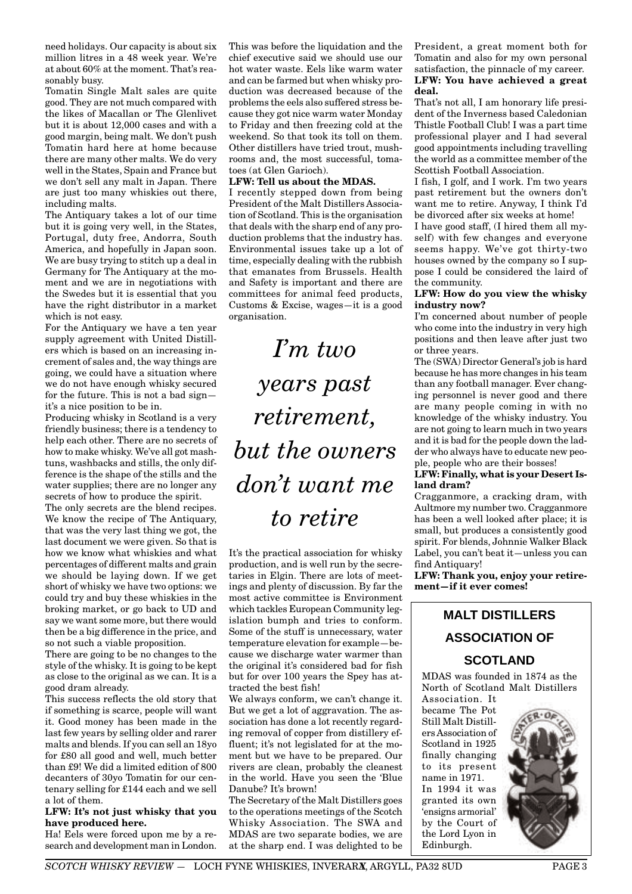need holidays. Our capacity is about six million litres in a 48 week year. We're at about 60% at the moment. That's reasonably busy.

Tomatin Single Malt sales are quite good. They are not much compared with the likes of Macallan or The Glenlivet but it is about 12,000 cases and with a good margin, being malt. We don't push Tomatin hard here at home because there are many other malts. We do very well in the States, Spain and France but we don't sell any malt in Japan. There are just too many whiskies out there, including malts.

The Antiquary takes a lot of our time but it is going very well, in the States, Portugal, duty free, Andorra, South America, and hopefully in Japan soon. We are busy trying to stitch up a deal in Germany for The Antiquary at the moment and we are in negotiations with the Swedes but it is essential that you have the right distributor in a market which is not easy.

For the Antiquary we have a ten year supply agreement with United Distillers which is based on an increasing increment of sales and, the way things are going, we could have a situation where we do not have enough whisky secured for the future. This is not a bad sign it's a nice position to be in.

Producing whisky in Scotland is a very friendly business; there is a tendency to help each other. There are no secrets of how to make whisky. We've all got mashtuns, washbacks and stills, the only difference is the shape of the stills and the water supplies; there are no longer any secrets of how to produce the spirit.

The only secrets are the blend recipes. We know the recipe of The Antiquary, that was the very last thing we got, the last document we were given. So that is how we know what whiskies and what percentages of different malts and grain we should be laying down. If we get short of whisky we have two options: we could try and buy these whiskies in the broking market, or go back to UD and say we want some more, but there would then be a big difference in the price, and so not such a viable proposition.

There are going to be no changes to the style of the whisky. It is going to be kept as close to the original as we can. It is a good dram already.

This success reflects the old story that if something is scarce, people will want it. Good money has been made in the last few years by selling older and rarer malts and blends. If you can sell an 18yo for £80 all good and well, much better than £9! We did a limited edition of 800 decanters of 30yo Tomatin for our centenary selling for £144 each and we sell a lot of them.

#### **LFW: It's not just whisky that you have produced here.**

Ha! Eels were forced upon me by a research and development man in London. This was before the liquidation and the chief executive said we should use our hot water waste. Eels like warm water and can be farmed but when whisky production was decreased because of the problems the eels also suffered stress because they got nice warm water Monday to Friday and then freezing cold at the weekend. So that took its toll on them. Other distillers have tried trout, mushrooms and, the most successful, tomatoes (at Glen Garioch).

#### **LFW: Tell us about the MDAS.**

I recently stepped down from being President of the Malt Distillers Association of Scotland. This is the organisation that deals with the sharp end of any production problems that the industry has. Environmental issues take up a lot of time, especially dealing with the rubbish that emanates from Brussels. Health and Safety is important and there are committees for animal feed products, Customs & Excise, wages—it is a good organisation.

*I'm two years past retirement, but the owners don't want me to retire*

It's the practical association for whisky production, and is well run by the secretaries in Elgin. There are lots of meetings and plenty of discussion. By far the most active committee is Environment which tackles European Community legislation bumph and tries to conform. Some of the stuff is unnecessary, water temperature elevation for example—because we discharge water warmer than the original it's considered bad for fish but for over 100 years the Spey has attracted the best fish!

We always conform, we can't change it. But we get a lot of aggravation. The association has done a lot recently regarding removal of copper from distillery effluent; it's not legislated for at the moment but we have to be prepared. Our rivers are clean, probably the cleanest in the world. Have you seen the 'Blue Danube? It's brown!

The Secretary of the Malt Distillers goes to the operations meetings of the Scotch Whisky Association. The SWA and MDAS are two separate bodies, we are at the sharp end. I was delighted to be

President, a great moment both for Tomatin and also for my own personal satisfaction, the pinnacle of my career. **LFW: You have achieved a great deal.**

That's not all, I am honorary life president of the Inverness based Caledonian Thistle Football Club! I was a part time professional player and I had several good appointments including travelling the world as a committee member of the Scottish Football Association.

I fish, I golf, and I work. I'm two years past retirement but the owners don't want me to retire. Anyway, I think I'd be divorced after six weeks at home!

I have good staff, (I hired them all myself) with few changes and everyone seems happy. We've got thirty-two houses owned by the company so I suppose I could be considered the laird of the community.

#### **LFW: How do you view the whisky industry now?**

I'm concerned about number of people who come into the industry in very high positions and then leave after just two or three years.

The (SWA) Director General's job is hard because he has more changes in his team than any football manager. Ever changing personnel is never good and there are many people coming in with no knowledge of the whisky industry. You are not going to learn much in two years and it is bad for the people down the ladder who always have to educate new people, people who are their bosses!

# **LFW: Finally, what is your Desert Island dram?**

Cragganmore, a cracking dram, with Aultmore my number two. Cragganmore has been a well looked after place; it is small, but produces a consistently good spirit. For blends, Johnnie Walker Black Label, you can't beat it—unless you can find Antiquary!

**LFW: Thank you, enjoy your retirement—if it ever comes!**

# **MALT DISTILLERS ASSOCIATION OF**

# **SCOTLAND**

MDAS was founded in 1874 as the North of Scotland Malt Distillers Association. It

became The Pot Still Malt Distillers Association of Scotland in 1925 finally changing to its present name in 1971. In 1994 it was granted its own 'ensigns armorial' by the Court of the Lord Lyon in Edinburgh.

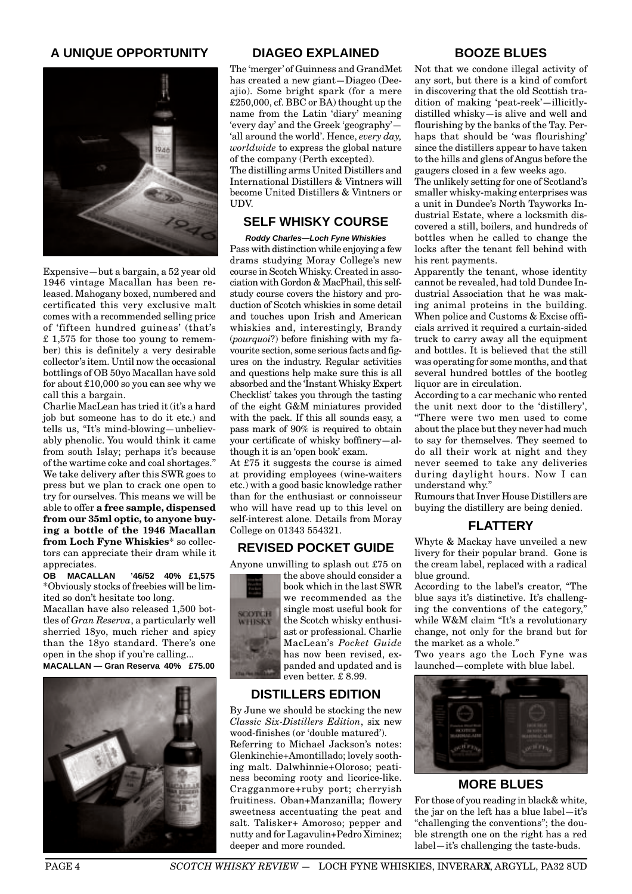# **A UNIQUE OPPORTUNITY**



Expensive—but a bargain, a 52 year old 1946 vintage Macallan has been released. Mahogany boxed, numbered and certificated this very exclusive malt comes with a recommended selling price of 'fifteen hundred guineas' (that's £ 1,575 for those too young to remember) this is definitely a very desirable collector's item. Until now the occasional bottlings of OB 50yo Macallan have sold for about £10,000 so you can see why we call this a bargain.

Charlie MacLean has tried it (it's a hard job but someone has to do it etc.) and tells us, "It's mind-blowing—unbelievably phenolic. You would think it came from south Islay; perhaps it's because of the wartime coke and coal shortages." We take delivery after this SWR goes to press but we plan to crack one open to try for ourselves. This means we will be able to offer **a free sample, dispensed from our 35ml optic, to anyone buying a bottle of the 1946 Macallan from Loch Fyne Whiskies**\* so collectors can appreciate their dram while it appreciates.

**OB MACALLAN '46/52 40% £1,575** \*Obviously stocks of freebies will be limited so don't hesitate too long.

Macallan have also released 1,500 bottles of *Gran Reserva*, a particularly well sherried 18yo, much richer and spicy than the 18yo standard. There's one open in the shop if you're calling... **MACALLAN — Gran Reserva 40% £75.00**



### **DIAGEO EXPLAINED**

The 'merger' of Guinness and GrandMet has created a new giant—Diageo (Deeajio). Some bright spark (for a mere £250,000, cf. BBC or BA) thought up the name from the Latin 'diary' meaning 'every day' and the Greek 'geography'— 'all around the world'. Hence, *every day, worldwide* to express the global nature of the company (Perth excepted). The distilling arms United Distillers and

International Distillers & Vintners will become United Distillers & Vintners or UDV.

# **SELF WHISKY COURSE**

**Roddy Charles—Loch Fyne Whiskies** Pass with distinction while enjoying a few drams studying Moray College's new course in Scotch Whisky. Created in association with Gordon & MacPhail, this selfstudy course covers the history and production of Scotch whiskies in some detail and touches upon Irish and American whiskies and, interestingly, Brandy (*pourquoi*?) before finishing with my favourite section, some serious facts and figures on the industry. Regular activities and questions help make sure this is all absorbed and the 'Instant Whisky Expert Checklist' takes you through the tasting of the eight G&M miniatures provided with the pack. If this all sounds easy, a pass mark of 90% is required to obtain your certificate of whisky boffinery—although it is an 'open book' exam.

At £75 it suggests the course is aimed at providing employees (wine-waiters etc.) with a good basic knowledge rather than for the enthusiast or connoisseur who will have read up to this level on self-interest alone. Details from Moray College on 01343 554321.

# **REVISED POCKET GUIDE**

Anyone unwilling to splash out £75 on



the above should consider a book which in the last SWR we recommended as the single most useful book for the Scotch whisky enthusiast or professional. Charlie MacLean's *Pocket Guide* has now been revised, expanded and updated and is even better. £ 8.99.

# **DISTILLERS EDITION**

By June we should be stocking the new *Classic Six-Distillers Edition*, six new wood-finishes (or 'double matured'). Referring to Michael Jackson's notes: Glenkinchie+Amontillado; lovely soothing malt. Dalwhinnie+Oloroso; peatiness becoming rooty and licorice-like. Cragganmore+ruby port; cherryish fruitiness. Oban+Manzanilla; flowery sweetness accentuating the peat and salt. Talisker+ Amoroso; pepper and nutty and for Lagavulin+Pedro Ximinez; deeper and more rounded.

# **BOOZE BLUES**

Not that we condone illegal activity of any sort, but there is a kind of comfort in discovering that the old Scottish tradition of making 'peat-reek'—illicitlydistilled whisky—is alive and well and flourishing by the banks of the Tay. Perhaps that should be 'was flourishing' since the distillers appear to have taken to the hills and glens of Angus before the gaugers closed in a few weeks ago.

The unlikely setting for one of Scotland's smaller whisky-making enterprises was a unit in Dundee's North Tayworks Industrial Estate, where a locksmith discovered a still, boilers, and hundreds of bottles when he called to change the locks after the tenant fell behind with his rent payments.

Apparently the tenant, whose identity cannot be revealed, had told Dundee Industrial Association that he was making animal proteins in the building. When police and Customs & Excise officials arrived it required a curtain-sided truck to carry away all the equipment and bottles. It is believed that the still was operating for some months, and that several hundred bottles of the bootleg liquor are in circulation.

According to a car mechanic who rented the unit next door to the 'distillery', "There were two men used to come about the place but they never had much to say for themselves. They seemed to do all their work at night and they never seemed to take any deliveries during daylight hours. Now I can understand why."

Rumours that Inver House Distillers are buying the distillery are being denied.

# **FLATTERY**

Whyte & Mackay have unveiled a new livery for their popular brand. Gone is the cream label, replaced with a radical blue ground.

According to the label's creator, "The blue says it's distinctive. It's challenging the conventions of the category," while W&M claim "It's a revolutionary change, not only for the brand but for the market as a whole."

Two years ago the Loch Fyne was launched—complete with blue label.



# **MORE BLUES**

For those of you reading in black& white, the jar on the left has a blue label—it's "challenging the conventions"; the double strength one on the right has a red label—it's challenging the taste-buds.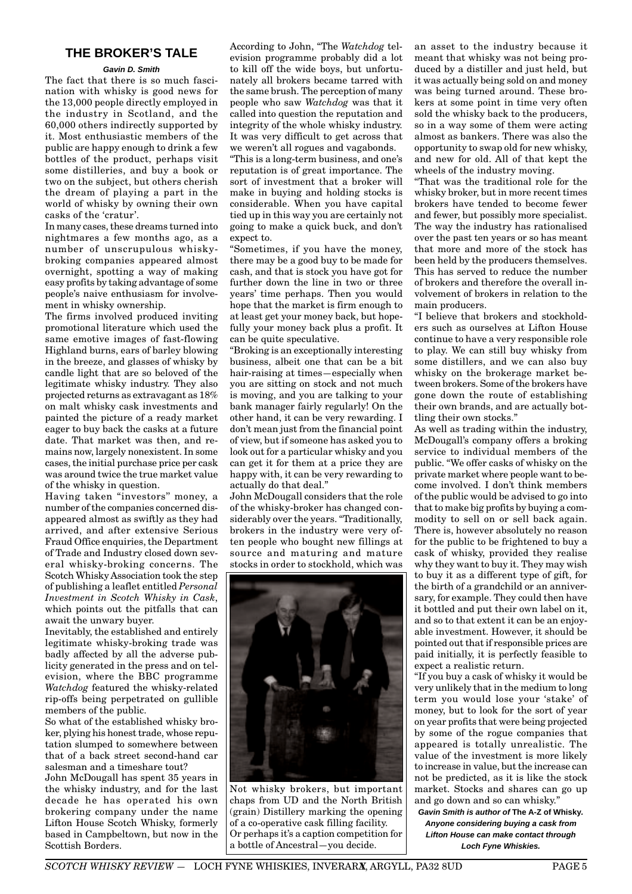# **THE BROKER'S TALE**

#### **Gavin D. Smith**

The fact that there is so much fascination with whisky is good news for the 13,000 people directly employed in the industry in Scotland, and the 60,000 others indirectly supported by it. Most enthusiastic members of the public are happy enough to drink a few bottles of the product, perhaps visit some distilleries, and buy a book or two on the subject, but others cherish the dream of playing a part in the world of whisky by owning their own casks of the 'cratur'.

In many cases, these dreams turned into nightmares a few months ago, as a number of unscrupulous whiskybroking companies appeared almost overnight, spotting a way of making easy profits by taking advantage of some people's naive enthusiasm for involvement in whisky ownership.

The firms involved produced inviting promotional literature which used the same emotive images of fast-flowing Highland burns, ears of barley blowing in the breeze, and glasses of whisky by candle light that are so beloved of the legitimate whisky industry. They also projected returns as extravagant as 18% on malt whisky cask investments and painted the picture of a ready market eager to buy back the casks at a future date. That market was then, and remains now, largely nonexistent. In some cases, the initial purchase price per cask was around twice the true market value of the whisky in question.

Having taken "investors'' money, a number of the companies concerned disappeared almost as swiftly as they had arrived, and after extensive Serious Fraud Office enquiries, the Department of Trade and Industry closed down several whisky-broking concerns. The Scotch Whisky Association took the step of publishing a leaflet entitled *Personal Investment in Scotch Whisky in Cask*, which points out the pitfalls that can await the unwary buyer.

Inevitably, the established and entirely legitimate whisky-broking trade was badly affected by all the adverse publicity generated in the press and on television, where the BBC programme *Watchdog* featured the whisky-related rip-offs being perpetrated on gullible members of the public.

So what of the established whisky broker, plying his honest trade, whose reputation slumped to somewhere between that of a back street second-hand car salesman and a timeshare tout?

John McDougall has spent 35 years in the whisky industry, and for the last decade he has operated his own brokering company under the name Lifton House Scotch Whisky, formerly based in Campbeltown, but now in the Scottish Borders.

According to John, "The *Watchdog* television programme probably did a lot to kill off the wide boys, but unfortunately all brokers became tarred with the same brush. The perception of many people who saw *Watchdog* was that it called into question the reputation and integrity of the whole whisky industry. It was very difficult to get across that we weren't all rogues and vagabonds.

"This is a long-term business, and one's reputation is of great importance. The sort of investment that a broker will make in buying and holding stocks is considerable. When you have capital tied up in this way you are certainly not going to make a quick buck, and don't expect to.

"Sometimes, if you have the money, there may be a good buy to be made for cash, and that is stock you have got for further down the line in two or three years' time perhaps. Then you would hope that the market is firm enough to at least get your money back, but hopefully your money back plus a profit. It can be quite speculative.

"Broking is an exceptionally interesting business, albeit one that can be a bit hair-raising at times—especially when you are sitting on stock and not much is moving, and you are talking to your bank manager fairly regularly! On the other hand, it can be very rewarding. I don't mean just from the financial point of view, but if someone has asked you to look out for a particular whisky and you can get it for them at a price they are happy with, it can be very rewarding to actually do that deal."

John McDougall considers that the role of the whisky-broker has changed considerably over the years. "Traditionally, brokers in the industry were very often people who bought new fillings at source and maturing and mature stocks in order to stockhold, which was



Not whisky brokers, but important chaps from UD and the North British (grain) Distillery marking the opening of a co-operative cask filling facility. Or perhaps it's a caption competition for a bottle of Ancestral—you decide.

an asset to the industry because it meant that whisky was not being produced by a distiller and just held, but it was actually being sold on and money was being turned around. These brokers at some point in time very often sold the whisky back to the producers, so in a way some of them were acting almost as bankers. There was also the opportunity to swap old for new whisky, and new for old. All of that kept the wheels of the industry moving.

"That was the traditional role for the whisky broker, but in more recent times brokers have tended to become fewer and fewer, but possibly more specialist. The way the industry has rationalised over the past ten years or so has meant that more and more of the stock has been held by the producers themselves. This has served to reduce the number of brokers and therefore the overall involvement of brokers in relation to the main producers.

"I believe that brokers and stockholders such as ourselves at Lifton House continue to have a very responsible role to play. We can still buy whisky from some distillers, and we can also buy whisky on the brokerage market between brokers. Some of the brokers have gone down the route of establishing their own brands, and are actually bottling their own stocks."

As well as trading within the industry, McDougall's company offers a broking service to individual members of the public. "We offer casks of whisky on the private market where people want to become involved. I don't think members of the public would be advised to go into that to make big profits by buying a commodity to sell on or sell back again. There is, however absolutely no reason for the public to be frightened to buy a cask of whisky, provided they realise why they want to buy it. They may wish to buy it as a different type of gift, for the birth of a grandchild or an anniversary, for example. They could then have it bottled and put their own label on it, and so to that extent it can be an enjoyable investment. However, it should be pointed out that if responsible prices are paid initially, it is perfectly feasible to expect a realistic return.

"If you buy a cask of whisky it would be very unlikely that in the medium to long term you would lose your 'stake' of money, but to look for the sort of year on year profits that were being projected by some of the rogue companies that appeared is totally unrealistic. The value of the investment is more likely to increase in value, but the increase can not be predicted, as it is like the stock market. Stocks and shares can go up and go down and so can whisky."

**Gavin Smith is author of The A-Z of Whisky. Anyone considering buying a cask from Lifton House can make contact through Loch Fyne Whiskies.**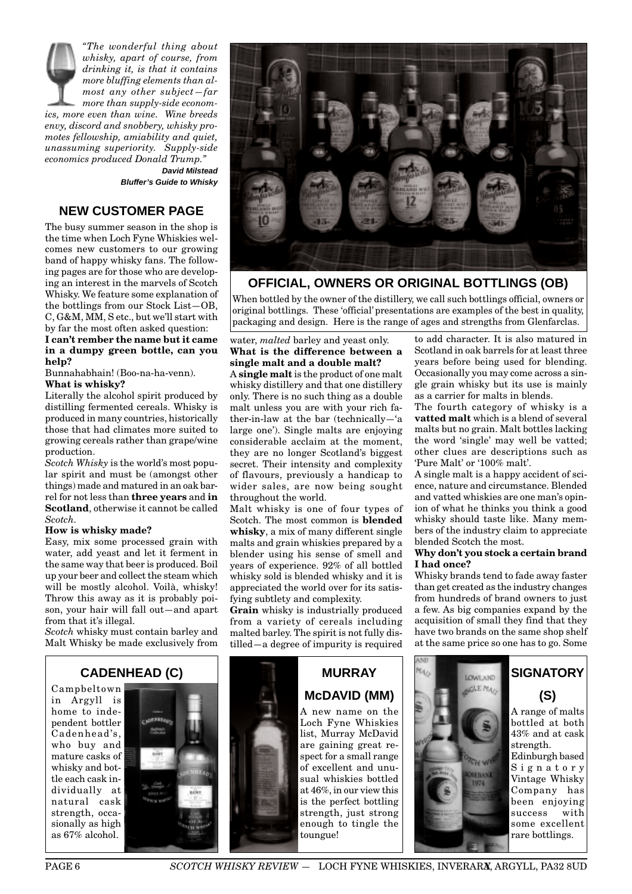*"The wonderful thing about whisky, apart of course, from drinking it, is that it contains more bluffing elements than almost any other subject—far more than supply-side economics, more even than wine. Wine breeds envy, discord and snobbery, whisky promotes fellowship, amiability and quiet, unassuming superiority. Supply-side economics produced Donald Trump."*  **David Milstead**

**Bluffer's Guide to Whisky**

# **NEW CUSTOMER PAGE**

The busy summer season in the shop is the time when Loch Fyne Whiskies welcomes new customers to our growing band of happy whisky fans. The following pages are for those who are developing an interest in the marvels of Scotch Whisky. We feature some explanation of the bottlings from our Stock List—OB, C, G&M, MM, S etc., but we'll start with by far the most often asked question:

**I can't rember the name but it came in a dumpy green bottle, can you help?**

Bunnahabhain! (Boo-na-ha-venn). **What is whisky?**

Literally the alcohol spirit produced by distilling fermented cereals. Whisky is produced in many countries, historically those that had climates more suited to growing cereals rather than grape/wine production.

*Scotch Whisky* is the world's most popular spirit and must be (amongst other things) made and matured in an oak barrel for not less than **three years** and **in Scotland**, otherwise it cannot be called *Scotch.*

#### **How is whisky made?**

Easy, mix some processed grain with water, add yeast and let it ferment in the same way that beer is produced. Boil up your beer and collect the steam which will be mostly alcohol. Voilà, whisky! Throw this away as it is probably poison, your hair will fall out—and apart from that it's illegal.

*Scotch* whisky must contain barley and Malt Whisky be made exclusively from



**OFFICIAL, OWNERS OR ORIGINAL BOTTLINGS (OB)**

When bottled by the owner of the distillery, we call such bottlings official, owners or original bottlings. These 'official' presentations are examples of the best in quality, packaging and design. Here is the range of ages and strengths from Glenfarclas.

#### water, *malted* barley and yeast only. **What is the difference between a single malt and a double malt?**

A **single malt** is the product of one malt whisky distillery and that one distillery only. There is no such thing as a double malt unless you are with your rich father-in-law at the bar (technically—'a large one'). Single malts are enjoying considerable acclaim at the moment, they are no longer Scotland's biggest secret. Their intensity and complexity of flavours, previously a handicap to wider sales, are now being sought throughout the world.

Malt whisky is one of four types of Scotch. The most common is **blended whisky**, a mix of many different single malts and grain whiskies prepared by a blender using his sense of smell and years of experience. 92% of all bottled whisky sold is blended whisky and it is appreciated the world over for its satisfying subtlety and complexity.

**Grain** whisky is industrially produced from a variety of cereals including malted barley. The spirit is not fully distilled—a degree of impurity is required

to add character. It is also matured in Scotland in oak barrels for at least three years before being used for blending. Occasionally you may come across a single grain whisky but its use is mainly as a carrier for malts in blends.

The fourth category of whisky is a **vatted malt** which is a blend of several malts but no grain. Malt bottles lacking the word 'single' may well be vatted; other clues are descriptions such as 'Pure Malt' or '100% malt'.

A single malt is a happy accident of science, nature and circumstance. Blended and vatted whiskies are one man's opinion of what he thinks you think a good whisky should taste like. Many members of the industry claim to appreciate blended Scotch the most.

#### **Why don't you stock a certain brand I had once?**

Whisky brands tend to fade away faster than get created as the industry changes from hundreds of brand owners to just a few. As big companies expand by the acquisition of small they find that they have two brands on the same shop shelf at the same price so one has to go. Some

# **CADENHEAD (C)**

Campbeltown in Argyll is home to independent bottler Cadenhead's, who buy and mature casks of whisky and bottle each cask individually at natural cask strength, occasionally as high as 67% alcohol.





list, Murray McDavid are gaining great respect for a small range of excellent and unusual whiskies bottled at 46%, in our view this is the perfect bottling strength, just strong enough to tingle the toungue!



# **SIGNATORY (S)** A range of malts bottled at both

43% and at cask strength. Edinburgh based Signatory Vintage Whisky Company has been enjoying success with some excellent rare bottlings.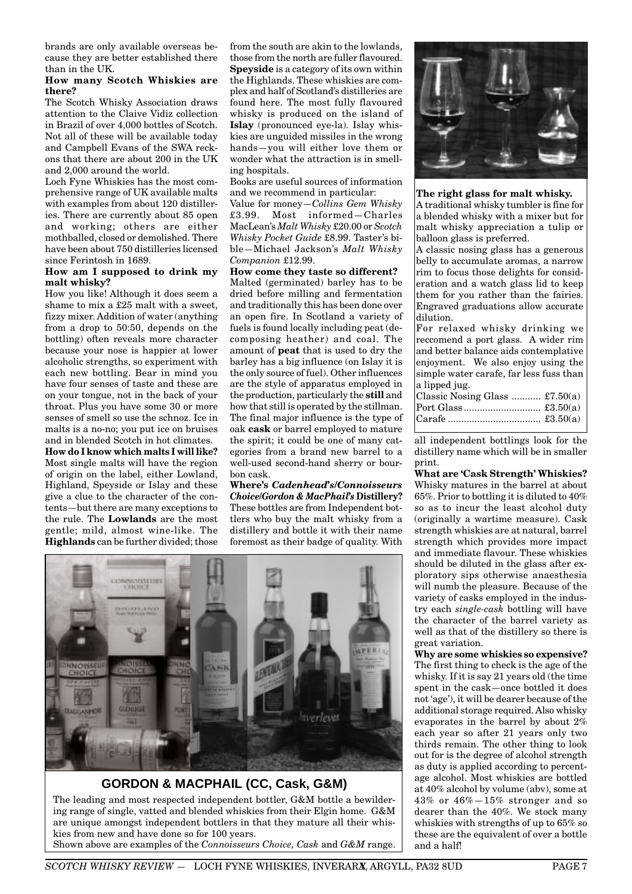brands are only available overseas because they are better established there than in the UK.

#### **How many Scotch Whiskies are there?**

The Scotch Whisky Association draws attention to the Claive Vidiz collection in Brazil of over 4,000 bottles of Scotch. Not all of these will be available today and Campbell Evans of the SWA reckons that there are about 200 in the UK and 2,000 around the world.

Loch Fyne Whiskies has the most comprehensive range of UK available malts with examples from about 120 distilleries. There are currently about 85 open and working; others are either mothballed, closed or demolished. There have been about 750 distilleries licensed since Ferintosh in 1689.

#### **How am I supposed to drink my malt whisky?**

How you like! Although it does seem a shame to mix a £25 malt with a sweet, fizzy mixer. Addition of water (anything from a drop to 50:50, depends on the bottling) often reveals more character because your nose is happier at lower alcoholic strengths, so experiment with each new bottling. Bear in mind you have four senses of taste and these are on your tongue, not in the back of your throat. Plus you have some 30 or more senses of smell so use the schnoz. Ice in malts is a no-no; you put ice on bruises and in blended Scotch in hot climates.

**How do I know which malts I will like?** Most single malts will have the region of origin on the label, either Lowland, Highland, Speyside or Islay and these give a clue to the character of the contents—but there are many exceptions to the rule. The **Lowlands** are the most gentle; mild, almost wine-like. The **Highlands** can be further divided; those from the south are akin to the lowlands, those from the north are fuller flavoured. **Speyside** is a category of its own within the Highlands. These whiskies are complex and half of Scotland's distilleries are found here. The most fully flavoured whisky is produced on the island of **Islay** (pronounced eye-la). Islay whiskies are unguided missiles in the wrong hands—you will either love them or wonder what the attraction is in smelling hospitals.

Books are useful sources of information and we recommend in particular:

Value for money—*Collins Gem Whisky* £3.99. Most informed—Charles MacLean's *Malt Whisky* £20.00 or *Scotch Whisky Pocket Guide* £8.99. Taster's bible—Michael Jackson's *Malt Whisky Companion* £12.99.

#### **How come they taste so different?**

Malted (germinated) barley has to be dried before milling and fermentation and traditionally this has been done over an open fire. In Scotland a variety of fuels is found locally including peat (decomposing heather) and coal. The amount of **peat** that is used to dry the barley has a big influence (on Islay it is the only source of fuel). Other influences are the style of apparatus employed in the production, particularly the **still** and how that still is operated by the stillman. The final major influence is the type of oak **cask** or barrel employed to mature the spirit; it could be one of many categories from a brand new barrel to a well-used second-hand sherry or bourbon cask.

**Where's** *Cadenhead's/Connoisseurs Choice/Gordon & MacPhail's* **Distillery?** These bottles are from Independent bottlers who buy the malt whisky from a distillery and bottle it with their name foremost as their badge of quality. With



**GORDON & MACPHAIL (CC, Cask, G&M)**

The leading and most respected independent bottler, G&M bottle a bewildering range of single, vatted and blended whiskies from their Elgin home. G&M are unique amongst independent bottlers in that they mature all their whiskies from new and have done so for 100 years. Shown above are examples of the *Connoisseurs Choice, Cask* and *G&M* range.



#### **The right glass for malt whisky.**

A traditional whisky tumbler is fine for a blended whisky with a mixer but for malt whisky appreciation a tulip or balloon glass is preferred.

A classic nosing glass has a generous belly to accumulate aromas, a narrow rim to focus those delights for consideration and a watch glass lid to keep them for you rather than the fairies. Engraved graduations allow accurate dilution.

For relaxed whisky drinking we reccomend a port glass. A wider rim and better balance aids contemplative enjoyment. We also enjoy using the simple water carafe, far less fuss than a lipped jug.

| Classic Nosing Glass $\pounds 7.50(a)$ |  |
|----------------------------------------|--|
|                                        |  |
|                                        |  |
|                                        |  |

all independent bottlings look for the distillery name which will be in smaller print.

**What are 'Cask Strength' Whiskies?** Whisky matures in the barrel at about 65%. Prior to bottling it is diluted to 40% so as to incur the least alcohol duty (originally a wartime measure). Cask strength whiskies are at natural, barrel strength which provides more impact and immediate flavour. These whiskies should be diluted in the glass after exploratory sips otherwise anaesthesia will numb the pleasure. Because of the variety of casks employed in the industry each *single-cask* bottling will have the character of the barrel variety as well as that of the distillery so there is great variation.

**Why are some whiskies so expensive?** The first thing to check is the age of the whisky. If it is say 21 years old (the time spent in the cask—once bottled it does not 'age'), it will be dearer because of the additional storage required. Also whisky evaporates in the barrel by about 2% each year so after 21 years only two thirds remain. The other thing to look out for is the degree of alcohol strength as duty is applied according to percentage alcohol. Most whiskies are bottled at 40% alcohol by volume (abv), some at 43% or 46%—15% stronger and so dearer than the 40%. We stock many whiskies with strengths of up to 65% so these are the equivalent of over a bottle and a half!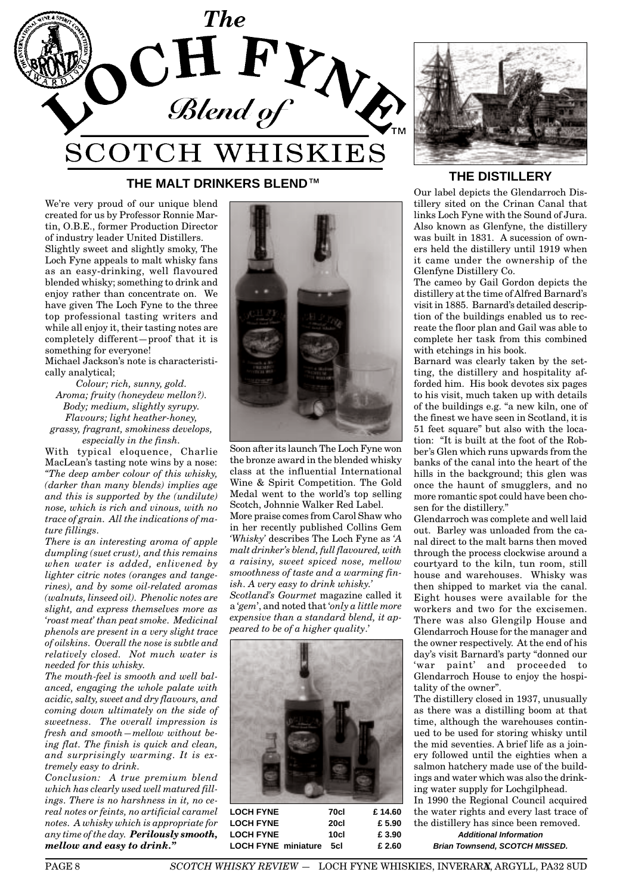

# **THE MALT DRINKERS BLEND**™ **THE DISTILLERY**

We're very proud of our unique blend created for us by Professor Ronnie Martin, O.B.E., former Production Director of industry leader United Distillers.

Slightly sweet and slightly smoky, The Loch Fyne appeals to malt whisky fans as an easy-drinking, well flavoured blended whisky; something to drink and enjoy rather than concentrate on. We have given The Loch Fyne to the three top professional tasting writers and while all enjoy it, their tasting notes are completely different—proof that it is something for everyone!

Michael Jackson's note is characteristically analytical;

*Colour; rich, sunny, gold. Aroma; fruity (honeydew mellon?). Body; medium, slightly syrupy. Flavours; light heather-honey, grassy, fragrant, smokiness develops, especially in the finsh.*

With typical eloquence, Charlie MacLean's tasting note wins by a nose: *"The deep amber colour of this whisky, (darker than many blends) implies age and this is supported by the (undilute) nose, which is rich and vinous, with no trace of grain. All the indications of mature fillings.*

*There is an interesting aroma of apple dumpling (suet crust), and this remains when water is added, enlivened by lighter citric notes (oranges and tangerines), and by some oil-related aromas (walnuts, linseed oil). Phenolic notes are slight, and express themselves more as 'roast meat' than peat smoke. Medicinal phenols are present in a very slight trace of oilskins. Overall the nose is subtle and relatively closed. Not much water is needed for this whisky.*

*The mouth-feel is smooth and well balanced, engaging the whole palate with acidic, salty, sweet and dry flavours, and coming down ultimately on the side of sweetness. The overall impression is fresh and smooth—mellow without being flat. The finish is quick and clean, and surprisingly warming. It is extremely easy to drink.*

*Conclusion: A true premium blend which has clearly used well matured fillings. There is no harshness in it, no cereal notes or feints, no artificial caramel notes. A whisky which is appropriate for any time of the day. Perilously smooth, mellow and easy to drink."*



Soon after its launch The Loch Fyne won the bronze award in the blended whisky class at the influential International Wine & Spirit Competition. The Gold Medal went to the world's top selling Scotch, Johnnie Walker Red Label. More praise comes from Carol Shaw who in her recently published Collins Gem *'Whisky'* describes The Loch Fyne as *'A malt drinker's blend, full flavoured, with a raisiny, sweet spiced nose, mellow smoothness of taste and a warming finish. A very easy to drink whisky.' Scotland's Gourmet* magazine called it

a '*gem*', and noted that '*only a little more expensive than a standard blend, it appeared to be of a higher quality*.'



**LOCH FYNE 70cl £ 14.60 LOCH FYNE 20cl £ 5.90 LOCH FYNE 10cl £ 3.90 LOCH FYNE miniature 5cl £ 2.60**



Our label depicts the Glendarroch Distillery sited on the Crinan Canal that links Loch Fyne with the Sound of Jura. Also known as Glenfyne, the distillery was built in 1831. A sucession of owners held the distillery until 1919 when it came under the ownership of the Glenfyne Distillery Co.

The cameo by Gail Gordon depicts the distillery at the time of Alfred Barnard's visit in 1885. Barnard's detailed description of the buildings enabled us to recreate the floor plan and Gail was able to complete her task from this combined with etchings in his book.

Barnard was clearly taken by the setting, the distillery and hospitality afforded him. His book devotes six pages to his visit, much taken up with details of the buildings e.g. "a new kiln, one of the finest we have seen in Scotland, it is 51 feet square" but also with the location: "It is built at the foot of the Robber's Glen which runs upwards from the banks of the canal into the heart of the hills in the background; this glen was once the haunt of smugglers, and no more romantic spot could have been chosen for the distillery."

Glendarroch was complete and well laid out. Barley was unloaded from the canal direct to the malt barns then moved through the process clockwise around a courtyard to the kiln, tun room, still house and warehouses. Whisky was then shipped to market via the canal. Eight houses were available for the workers and two for the excisemen. There was also Glengilp House and Glendarroch House for the manager and the owner respectively. At the end of his day's visit Barnard's party "donned our 'war paint' and proceeded to Glendarroch House to enjoy the hospitality of the owner".

The distillery closed in 1937, unusually as there was a distilling boom at that time, although the warehouses continued to be used for storing whisky until the mid seventies. A brief life as a joinery followed until the eighties when a salmon hatchery made use of the buildings and water which was also the drinking water supply for Lochgilphead. In 1990 the Regional Council acquired the water rights and every last trace of the distillery has since been removed.

**Additional Information Brian Townsend, SCOTCH MISSED.**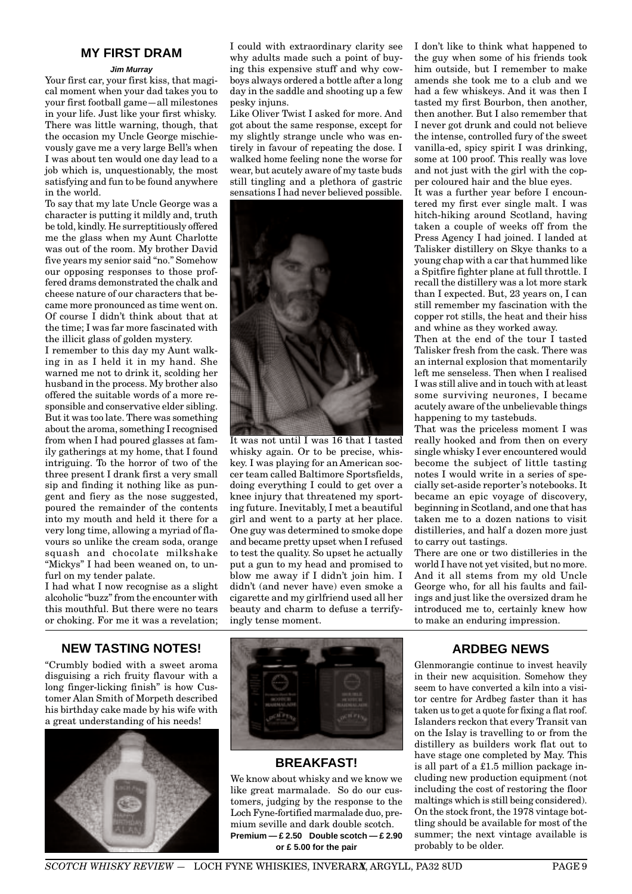# **MY FIRST DRAM**

#### **Jim Murray**

Your first car, your first kiss, that magical moment when your dad takes you to your first football game—all milestones in your life. Just like your first whisky. There was little warning, though, that the occasion my Uncle George mischievously gave me a very large Bell's when I was about ten would one day lead to a job which is, unquestionably, the most satisfying and fun to be found anywhere in the world.

To say that my late Uncle George was a character is putting it mildly and, truth be told, kindly. He surreptitiously offered me the glass when my Aunt Charlotte was out of the room. My brother David five years my senior said "no." Somehow our opposing responses to those proffered drams demonstrated the chalk and cheese nature of our characters that became more pronounced as time went on. Of course I didn't think about that at the time; I was far more fascinated with the illicit glass of golden mystery.

I remember to this day my Aunt walking in as I held it in my hand. She warned me not to drink it, scolding her husband in the process. My brother also offered the suitable words of a more responsible and conservative elder sibling. But it was too late. There was something about the aroma, something I recognised from when I had poured glasses at family gatherings at my home, that I found intriguing. To the horror of two of the three present I drank first a very small sip and finding it nothing like as pungent and fiery as the nose suggested, poured the remainder of the contents into my mouth and held it there for a very long time, allowing a myriad of flavours so unlike the cream soda, orange squash and chocolate milkshake "Mickys" I had been weaned on, to unfurl on my tender palate.

I had what I now recognise as a slight alcoholic "buzz" from the encounter with this mouthful. But there were no tears or choking. For me it was a revelation;

#### I could with extraordinary clarity see why adults made such a point of buying this expensive stuff and why cowboys always ordered a bottle after a long day in the saddle and shooting up a few pesky injuns.

Like Oliver Twist I asked for more. And got about the same response, except for my slightly strange uncle who was entirely in favour of repeating the dose. I walked home feeling none the worse for wear, but acutely aware of my taste buds still tingling and a plethora of gastric sensations I had never believed possible.



It was not until I was 16 that I tasted whisky again. Or to be precise, whiskey. I was playing for an American soccer team called Baltimore Sportsfields, doing everything I could to get over a knee injury that threatened my sporting future. Inevitably, I met a beautiful girl and went to a party at her place. One guy was determined to smoke dope and became pretty upset when I refused to test the quality. So upset he actually put a gun to my head and promised to blow me away if I didn't join him. I didn't (and never have) even smoke a cigarette and my girlfriend used all her beauty and charm to defuse a terrifyingly tense moment.

**NEW TASTING NOTES!**

"Crumbly bodied with a sweet aroma disguising a rich fruity flavour with a long finger-licking finish" is how Customer Alan Smith of Morpeth described his birthday cake made by his wife with a great understanding of his needs!





# **BREAKFAST!**

We know about whisky and we know we like great marmalade. So do our customers, judging by the response to the Loch Fyne-fortified marmalade duo, premium seville and dark double scotch. **Premium — £ 2.50 Double scotch — £ 2.90 or £ 5.00 for the pair**

I don't like to think what happened to the guy when some of his friends took him outside, but I remember to make amends she took me to a club and we had a few whiskeys. And it was then I tasted my first Bourbon, then another, then another. But I also remember that I never got drunk and could not believe the intense, controlled fury of the sweet vanilla-ed, spicy spirit I was drinking, some at 100 proof. This really was love and not just with the girl with the copper coloured hair and the blue eyes.

It was a further year before I encountered my first ever single malt. I was hitch-hiking around Scotland, having taken a couple of weeks off from the Press Agency I had joined. I landed at Talisker distillery on Skye thanks to a young chap with a car that hummed like a Spitfire fighter plane at full throttle. I recall the distillery was a lot more stark than I expected. But, 23 years on, I can still remember my fascination with the copper rot stills, the heat and their hiss and whine as they worked away.

Then at the end of the tour I tasted Talisker fresh from the cask. There was an internal explosion that momentarily left me senseless. Then when I realised I was still alive and in touch with at least some surviving neurones, I became acutely aware of the unbelievable things happening to my tastebuds.

That was the priceless moment I was really hooked and from then on every single whisky I ever encountered would become the subject of little tasting notes I would write in a series of specially set-aside reporter's notebooks. It became an epic voyage of discovery, beginning in Scotland, and one that has taken me to a dozen nations to visit distilleries, and half a dozen more just to carry out tastings.

There are one or two distilleries in the world I have not yet visited, but no more. And it all stems from my old Uncle George who, for all his faults and failings and just like the oversized dram he introduced me to, certainly knew how to make an enduring impression.

# **ARDBEG NEWS**

Glenmorangie continue to invest heavily in their new acquisition. Somehow they seem to have converted a kiln into a visitor centre for Ardbeg faster than it has taken us to get a quote for fixing a flat roof. Islanders reckon that every Transit van on the Islay is travelling to or from the distillery as builders work flat out to have stage one completed by May. This is all part of a £1.5 million package including new production equipment (not including the cost of restoring the floor maltings which is still being considered). On the stock front, the 1978 vintage bottling should be available for most of the summer; the next vintage available is probably to be older.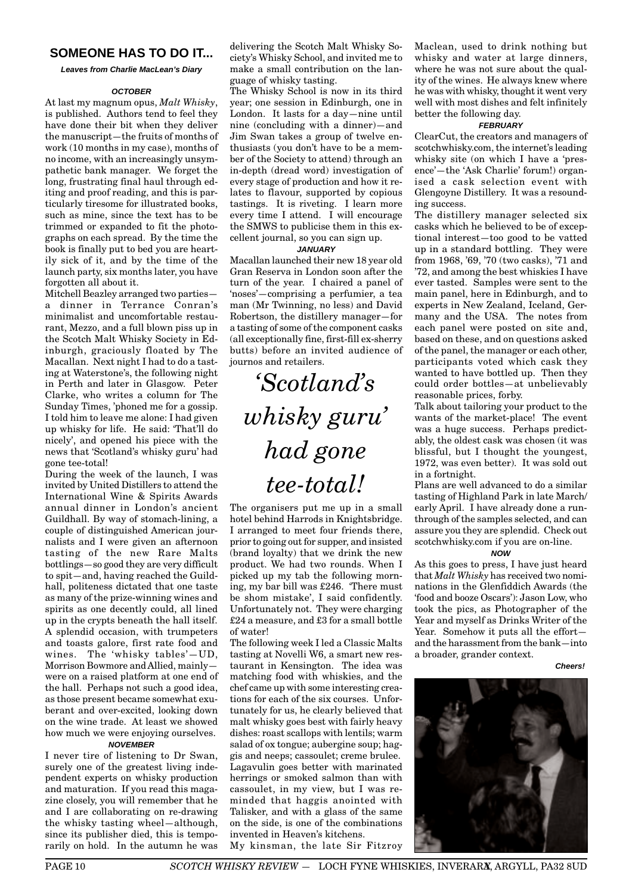# **SOMEONE HAS TO DO IT...**

**Leaves from Charlie MacLean's Diary**

#### **OCTOBER**

At last my magnum opus, *Malt Whisky*, is published. Authors tend to feel they have done their bit when they deliver the manuscript—the fruits of months of work (10 months in my case), months of no income, with an increasingly unsympathetic bank manager. We forget the long, frustrating final haul through editing and proof reading, and this is particularly tiresome for illustrated books, such as mine, since the text has to be trimmed or expanded to fit the photographs on each spread. By the time the book is finally put to bed you are heartily sick of it, and by the time of the launch party, six months later, you have forgotten all about it.

Mitchell Beazley arranged two parties a dinner in Terrance Conran's minimalist and uncomfortable restaurant, Mezzo, and a full blown piss up in the Scotch Malt Whisky Society in Edinburgh, graciously floated by The Macallan. Next night I had to do a tasting at Waterstone's, the following night in Perth and later in Glasgow. Peter Clarke, who writes a column for The Sunday Times, 'phoned me for a gossip. I told him to leave me alone: I had given up whisky for life. He said: 'That'll do nicely', and opened his piece with the news that 'Scotland's whisky guru' had gone tee-total!

During the week of the launch, I was invited by United Distillers to attend the International Wine & Spirits Awards annual dinner in London's ancient Guildhall. By way of stomach-lining, a couple of distinguished American journalists and I were given an afternoon tasting of the new Rare Malts bottlings—so good they are very difficult to spit—and, having reached the Guildhall, politeness dictated that one taste as many of the prize-winning wines and spirits as one decently could, all lined up in the crypts beneath the hall itself. A splendid occasion, with trumpeters and toasts galore, first rate food and wines. The 'whisky tables'—UD, Morrison Bowmore and Allied, mainly were on a raised platform at one end of the hall. Perhaps not such a good idea, as those present became somewhat exuberant and over-excited, looking down on the wine trade. At least we showed how much we were enjoying ourselves. **NOVEMBER**

I never tire of listening to Dr Swan, surely one of the greatest living independent experts on whisky production and maturation. If you read this magazine closely, you will remember that he and I are collaborating on re-drawing the whisky tasting wheel—although, since its publisher died, this is temporarily on hold. In the autumn he was delivering the Scotch Malt Whisky Society's Whisky School, and invited me to make a small contribution on the language of whisky tasting.

The Whisky School is now in its third year; one session in Edinburgh, one in London. It lasts for a day—nine until nine (concluding with a dinner)—and Jim Swan takes a group of twelve enthusiasts (you don't have to be a member of the Society to attend) through an in-depth (dread word) investigation of every stage of production and how it relates to flavour, supported by copious tastings. It is riveting. I learn more every time I attend. I will encourage the SMWS to publicise them in this excellent journal, so you can sign up.

#### **JANUARY**

Macallan launched their new 18 year old Gran Reserva in London soon after the turn of the year. I chaired a panel of 'noses'—comprising a perfumier, a tea man (Mr Twinning, no less) and David Robertson, the distillery manager—for a tasting of some of the component casks (all exceptionally fine, first-fill ex-sherry butts) before an invited audience of journos and retailers.

# *'Scotland's whisky guru' had gone tee-total!*

The organisers put me up in a small hotel behind Harrods in Knightsbridge. I arranged to meet four friends there, prior to going out for supper, and insisted (brand loyalty) that we drink the new product. We had two rounds. When I picked up my tab the following morning, my bar bill was £246. 'There must be shom mistake', I said confidently. Unfortunately not. They were charging £24 a measure, and £3 for a small bottle of water!

The following week I led a Classic Malts tasting at Novelli W6, a smart new restaurant in Kensington. The idea was matching food with whiskies, and the chef came up with some interesting creations for each of the six courses. Unfortunately for us, he clearly believed that malt whisky goes best with fairly heavy dishes: roast scallops with lentils; warm salad of ox tongue; aubergine soup; haggis and neeps; cassoulet; creme brulee. Lagavulin goes better with marinated herrings or smoked salmon than with cassoulet, in my view, but I was reminded that haggis anointed with Talisker, and with a glass of the same on the side, is one of the combinations invented in Heaven's kitchens.

My kinsman, the late Sir Fitzroy

Maclean, used to drink nothing but whisky and water at large dinners, where he was not sure about the quality of the wines. He always knew where he was with whisky, thought it went very well with most dishes and felt infinitely better the following day.

#### **FEBRUARY**

ClearCut, the creators and managers of scotchwhisky.com, the internet's leading whisky site (on which I have a 'presence'—the 'Ask Charlie' forum!) organised a cask selection event with Glengoyne Distillery. It was a resounding success.

The distillery manager selected six casks which he believed to be of exceptional interest—too good to be vatted up in a standard bottling. They were from 1968, '69, '70 (two casks), '71 and '72, and among the best whiskies I have ever tasted. Samples were sent to the main panel, here in Edinburgh, and to experts in New Zealand, Iceland, Germany and the USA. The notes from each panel were posted on site and, based on these, and on questions asked of the panel, the manager or each other, participants voted which cask they wanted to have bottled up. Then they could order bottles—at unbelievably reasonable prices, forby.

Talk about tailoring your product to the wants of the market-place! The event was a huge success. Perhaps predictably, the oldest cask was chosen (it was blissful, but I thought the youngest, 1972, was even better). It was sold out in a fortnight.

Plans are well advanced to do a similar tasting of Highland Park in late March/ early April. I have already done a runthrough of the samples selected, and can assure you they are splendid. Check out scotchwhisky.com if you are on-line.

#### **NOW**

As this goes to press, I have just heard that *Malt Whisky* has received two nominations in the Glenfiddich Awards (the 'food and booze Oscars'): Jason Low, who took the pics, as Photographer of the Year and myself as Drinks Writer of the Year. Somehow it puts all the effort and the harassment from the bank—into a broader, grander context.

**Cheers!**

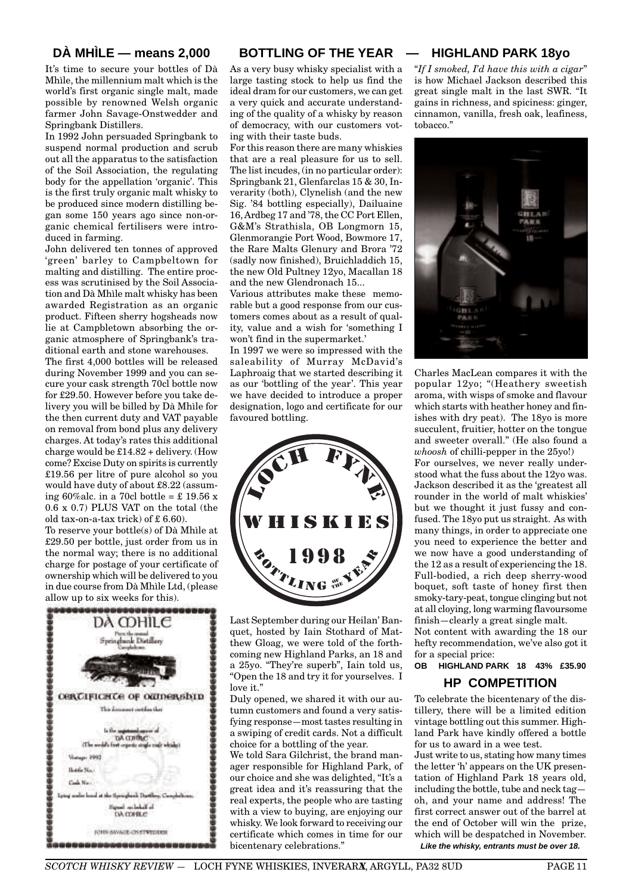# **DÀ MHÌLE — means 2,000**

It's time to secure your bottles of Dà Mhìle, the millennium malt which is the world's first organic single malt, made possible by renowned Welsh organic farmer John Savage-Onstwedder and Springbank Distillers.

In 1992 John persuaded Springbank to suspend normal production and scrub out all the apparatus to the satisfaction of the Soil Association, the regulating body for the appellation 'organic'. This is the first truly organic malt whisky to be produced since modern distilling began some 150 years ago since non-organic chemical fertilisers were introduced in farming.

John delivered ten tonnes of approved 'green' barley to Campbeltown for malting and distilling. The entire process was scrutinised by the Soil Association and Dà Mhìle malt whisky has been awarded Registration as an organic product. Fifteen sherry hogsheads now lie at Campbletown absorbing the organic atmosphere of Springbank's traditional earth and stone warehouses.

The first 4,000 bottles will be released during November 1999 and you can secure your cask strength 70cl bottle now for £29.50. However before you take delivery you will be billed by Dà Mhìle for the then current duty and VAT payable on removal from bond plus any delivery charges. At today's rates this additional charge would be £14.82 + delivery. (How come? Excise Duty on spirits is currently £19.56 per litre of pure alcohol so you would have duty of about £8.22 (assuming 60% alc. in a 70cl bottle =  $\text{\pounds}$  19.56 x 0.6 x 0.7) PLUS VAT on the total (the old tax-on-a-tax trick) of £ 6.60).

To reserve your bottle(s) of Dà Mhìle at £29.50 per bottle, just order from us in the normal way; there is no additional charge for postage of your certificate of ownership which will be delivered to you in due course from Dà Mhìle Ltd, (please allow up to six weeks for this).



# **BOTTLING OF THE YEAR**

As a very busy whisky specialist with a large tasting stock to help us find the ideal dram for our customers, we can get a very quick and accurate understanding of the quality of a whisky by reason of democracy, with our customers voting with their taste buds.

For this reason there are many whiskies that are a real pleasure for us to sell. The list incudes, (in no particular order): Springbank 21, Glenfarclas 15 & 30, Inverarity (both), Clynelish (and the new Sig. '84 bottling especially), Dailuaine 16, Ardbeg 17 and '78, the CC Port Ellen, G&M's Strathisla, OB Longmorn 15, Glenmorangie Port Wood, Bowmore 17, the Rare Malts Glenury and Brora '72 (sadly now finished), Bruichladdich 15, the new Old Pultney 12yo, Macallan 18 and the new Glendronach 15...

Various attributes make these memorable but a good response from our customers comes about as a result of quality, value and a wish for 'something I won't find in the supermarket.'

In 1997 we were so impressed with the saleability of Murray McDavid's Laphroaig that we started describing it as our 'bottling of the year'. This year we have decided to introduce a proper designation, logo and certificate for our favoured bottling.



Last September during our Heilan' Banquet, hosted by Iain Stothard of Matthew Gloag, we were told of the forthcoming new Highland Parks, an 18 and a 25yo. "They're superb", Iain told us, "Open the 18 and try it for yourselves. I love it."

Duly opened, we shared it with our autumn customers and found a very satisfying response—most tastes resulting in a swiping of credit cards. Not a difficult choice for a bottling of the year.

We told Sara Gilchrist, the brand manager responsible for Highland Park, of our choice and she was delighted, "It's a great idea and it's reassuring that the real experts, the people who are tasting with a view to buying, are enjoying our whisky. We look forward to receiving our certificate which comes in time for our bicentenary celebrations."

# **— HIGHLAND PARK 18yo**

"*If I smoked, I'd have this with a cigar*" is how Michael Jackson described this great single malt in the last SWR. "It gains in richness, and spiciness: ginger, cinnamon, vanilla, fresh oak, leafiness, tobacco."



Charles MacLean compares it with the popular 12yo; "(Heathery sweetish aroma, with wisps of smoke and flavour which starts with heather honey and finishes with dry peat). The 18yo is more succulent, fruitier, hotter on the tongue and sweeter overall." (He also found a *whoosh* of chilli-pepper in the 25yo!) For ourselves, we never really understood what the fuss about the 12yo was. Jackson described it as the 'greatest all rounder in the world of malt whiskies' but we thought it just fussy and confused. The 18yo put us straight. As with many things, in order to appreciate one you need to experience the better and we now have a good understanding of the 12 as a result of experiencing the 18. Full-bodied, a rich deep sherry-wood boquet, soft taste of honey first then smoky-tary-peat, tongue clinging but not at all cloying, long warming flavoursome finish—clearly a great single malt.

Not content with awarding the 18 our hefty recommendation, we've also got it for a special price:

# **OB HIGHLAND PARK 18 43% £35.90 HP COMPETITION**

To celebrate the bicentenary of the distillery, there will be a limited edition vintage bottling out this summer. Highland Park have kindly offered a bottle for us to award in a wee test.

Just write to us, stating how many times the letter 'h' appears on the UK presentation of Highland Park 18 years old, including the bottle, tube and neck tag oh, and your name and address! The first correct answer out of the barrel at the end of October will win the prize, which will be despatched in November. **Like the whisky, entrants must be over 18.**